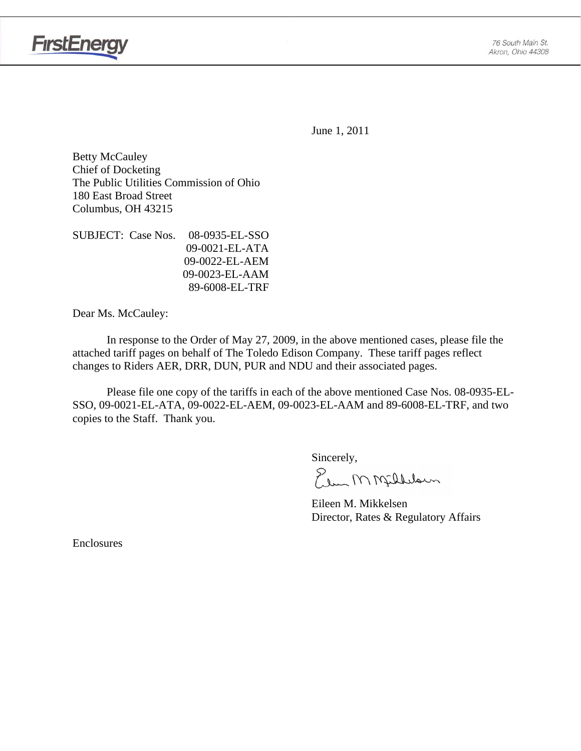

June 1, 2011

Betty McCauley Chief of Docketing The Public Utilities Commission of Ohio 180 East Broad Street Columbus, OH 43215

SUBJECT: Case Nos. 08-0935-EL-SSO 09-0021-EL-ATA 09-0022-EL-AEM 09-0023-EL-AAM 89-6008-EL-TRF

Dear Ms. McCauley:

 In response to the Order of May 27, 2009, in the above mentioned cases, please file the attached tariff pages on behalf of The Toledo Edison Company. These tariff pages reflect changes to Riders AER, DRR, DUN, PUR and NDU and their associated pages.

Please file one copy of the tariffs in each of the above mentioned Case Nos. 08-0935-EL-SSO, 09-0021-EL-ATA, 09-0022-EL-AEM, 09-0023-EL-AAM and 89-6008-EL-TRF, and two copies to the Staff. Thank you.

Sincerely,

Plus MMfilllown

 Eileen M. Mikkelsen Director, Rates & Regulatory Affairs

Enclosures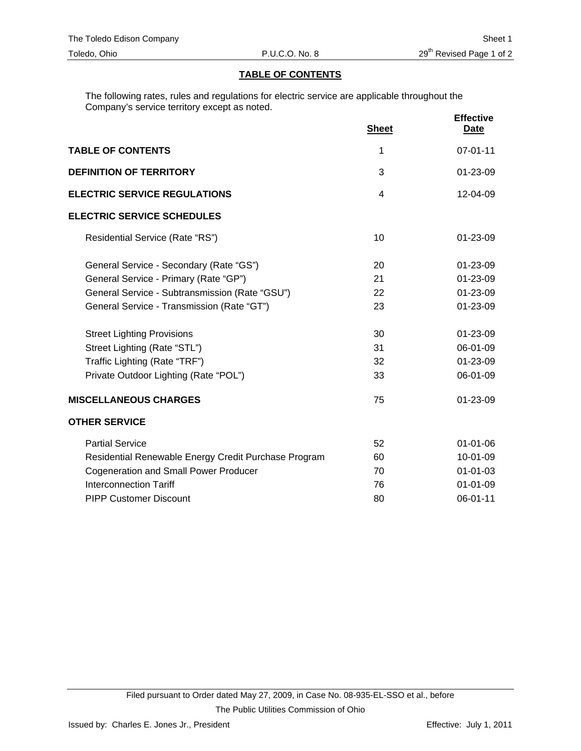#### **TABLE OF CONTENTS**

The following rates, rules and regulations for electric service are applicable throughout the Company's service territory except as noted.

|                                                      | <b>Sheet</b>   | <b>Effective</b><br><b>Date</b> |
|------------------------------------------------------|----------------|---------------------------------|
| <b>TABLE OF CONTENTS</b>                             | 1              | 07-01-11                        |
| <b>DEFINITION OF TERRITORY</b>                       | 3              | 01-23-09                        |
| <b>ELECTRIC SERVICE REGULATIONS</b>                  | $\overline{4}$ | 12-04-09                        |
| <b>ELECTRIC SERVICE SCHEDULES</b>                    |                |                                 |
| Residential Service (Rate "RS")                      | 10             | $01 - 23 - 09$                  |
| General Service - Secondary (Rate "GS")              | 20             | 01-23-09                        |
| General Service - Primary (Rate "GP")                | 21             | $01 - 23 - 09$                  |
| General Service - Subtransmission (Rate "GSU")       | 22             | 01-23-09                        |
| General Service - Transmission (Rate "GT")           | 23             | $01 - 23 - 09$                  |
| <b>Street Lighting Provisions</b>                    | 30             | $01 - 23 - 09$                  |
| Street Lighting (Rate "STL")                         | 31             | 06-01-09                        |
| Traffic Lighting (Rate "TRF")                        | 32             | 01-23-09                        |
| Private Outdoor Lighting (Rate "POL")                | 33             | 06-01-09                        |
| <b>MISCELLANEOUS CHARGES</b>                         | 75             | 01-23-09                        |
| <b>OTHER SERVICE</b>                                 |                |                                 |
| <b>Partial Service</b>                               | 52             | $01 - 01 - 06$                  |
| Residential Renewable Energy Credit Purchase Program | 60             | 10-01-09                        |
| <b>Cogeneration and Small Power Producer</b>         | 70             | $01 - 01 - 03$                  |
| <b>Interconnection Tariff</b>                        | 76             | $01 - 01 - 09$                  |
| <b>PIPP Customer Discount</b>                        | 80             | 06-01-11                        |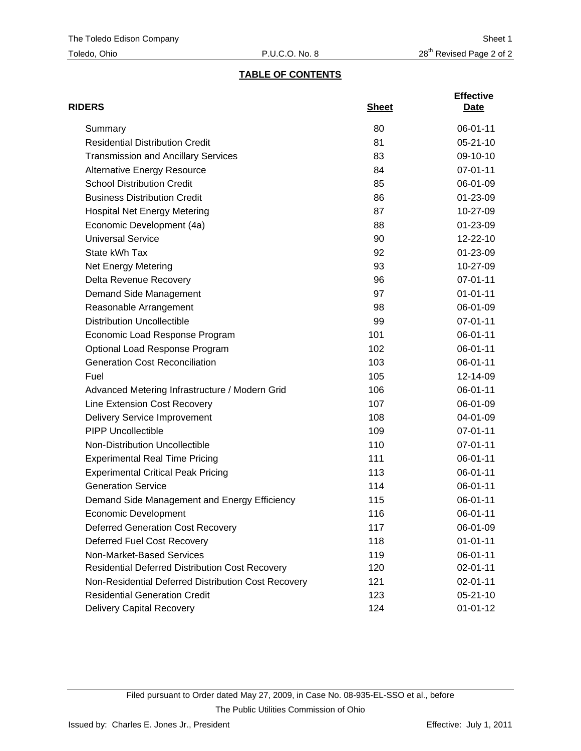# **TABLE OF CONTENTS**

| <b>RIDERS</b>                                          | <b>Sheet</b> | <b>Effective</b><br>Date |
|--------------------------------------------------------|--------------|--------------------------|
| Summary                                                | 80           | 06-01-11                 |
| <b>Residential Distribution Credit</b>                 | 81           | $05 - 21 - 10$           |
| <b>Transmission and Ancillary Services</b>             | 83           | 09-10-10                 |
| <b>Alternative Energy Resource</b>                     | 84           | 07-01-11                 |
| <b>School Distribution Credit</b>                      | 85           | 06-01-09                 |
| <b>Business Distribution Credit</b>                    | 86           | 01-23-09                 |
| <b>Hospital Net Energy Metering</b>                    | 87           | 10-27-09                 |
| Economic Development (4a)                              | 88           | 01-23-09                 |
| <b>Universal Service</b>                               | 90           | 12-22-10                 |
| State kWh Tax                                          | 92           | 01-23-09                 |
| Net Energy Metering                                    | 93           | 10-27-09                 |
| Delta Revenue Recovery                                 | 96           | 07-01-11                 |
| Demand Side Management                                 | 97           | $01 - 01 - 11$           |
| Reasonable Arrangement                                 | 98           | 06-01-09                 |
| <b>Distribution Uncollectible</b>                      | 99           | $07 - 01 - 11$           |
| Economic Load Response Program                         | 101          | 06-01-11                 |
| Optional Load Response Program                         | 102          | 06-01-11                 |
| <b>Generation Cost Reconciliation</b>                  | 103          | 06-01-11                 |
| Fuel                                                   | 105          | 12-14-09                 |
| Advanced Metering Infrastructure / Modern Grid         | 106          | 06-01-11                 |
| Line Extension Cost Recovery                           | 107          | 06-01-09                 |
| <b>Delivery Service Improvement</b>                    | 108          | 04-01-09                 |
| <b>PIPP Uncollectible</b>                              | 109          | $07 - 01 - 11$           |
| Non-Distribution Uncollectible                         | 110          | 07-01-11                 |
| <b>Experimental Real Time Pricing</b>                  | 111          | 06-01-11                 |
| <b>Experimental Critical Peak Pricing</b>              | 113          | 06-01-11                 |
| <b>Generation Service</b>                              | 114          | 06-01-11                 |
| Demand Side Management and Energy Efficiency           | 115          | 06-01-11                 |
| Economic Development                                   | 116          | 06-01-11                 |
| <b>Deferred Generation Cost Recovery</b>               | 117          | 06-01-09                 |
| Deferred Fuel Cost Recovery                            | 118          | $01 - 01 - 11$           |
| Non-Market-Based Services                              | 119          | 06-01-11                 |
| <b>Residential Deferred Distribution Cost Recovery</b> | 120          | 02-01-11                 |
| Non-Residential Deferred Distribution Cost Recovery    | 121          | 02-01-11                 |
| <b>Residential Generation Credit</b>                   | 123          | $05 - 21 - 10$           |
| <b>Delivery Capital Recovery</b>                       | 124          | $01 - 01 - 12$           |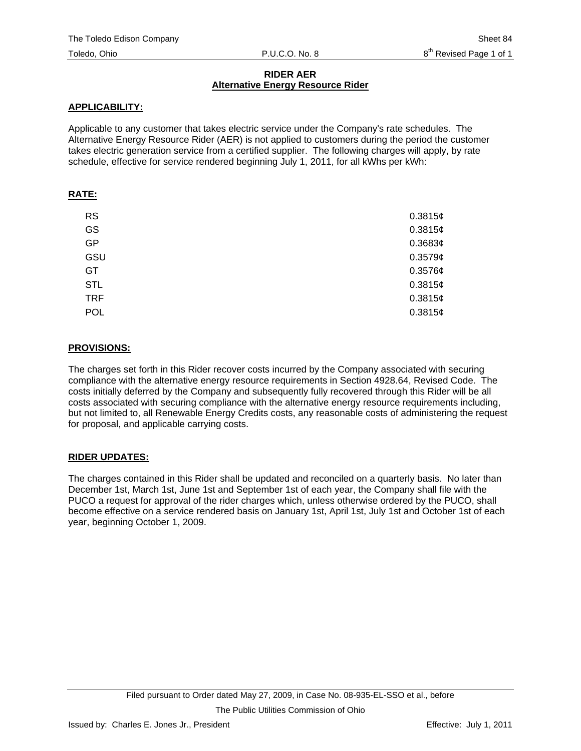## **RIDER AER Alternative Energy Resource Rider**

## **APPLICABILITY:**

Applicable to any customer that takes electric service under the Company's rate schedules. The Alternative Energy Resource Rider (AER) is not applied to customers during the period the customer takes electric generation service from a certified supplier. The following charges will apply, by rate schedule, effective for service rendered beginning July 1, 2011, for all kWhs per kWh:

## **RATE:**

| <b>RS</b>  | 0.3815¢    |
|------------|------------|
| GS         | 0.3815¢    |
| <b>GP</b>  | 0.3683¢    |
| GSU        | 0.3579c    |
| GT         | $0.3576$ ¢ |
| <b>STL</b> | 0.3815¢    |
| <b>TRF</b> | 0.3815c    |
| <b>POL</b> | 0.3815c    |

## **PROVISIONS:**

The charges set forth in this Rider recover costs incurred by the Company associated with securing compliance with the alternative energy resource requirements in Section 4928.64, Revised Code. The costs initially deferred by the Company and subsequently fully recovered through this Rider will be all costs associated with securing compliance with the alternative energy resource requirements including, but not limited to, all Renewable Energy Credits costs, any reasonable costs of administering the request for proposal, and applicable carrying costs.

# **RIDER UPDATES:**

The charges contained in this Rider shall be updated and reconciled on a quarterly basis. No later than December 1st, March 1st, June 1st and September 1st of each year, the Company shall file with the PUCO a request for approval of the rider charges which, unless otherwise ordered by the PUCO, shall become effective on a service rendered basis on January 1st, April 1st, July 1st and October 1st of each year, beginning October 1, 2009.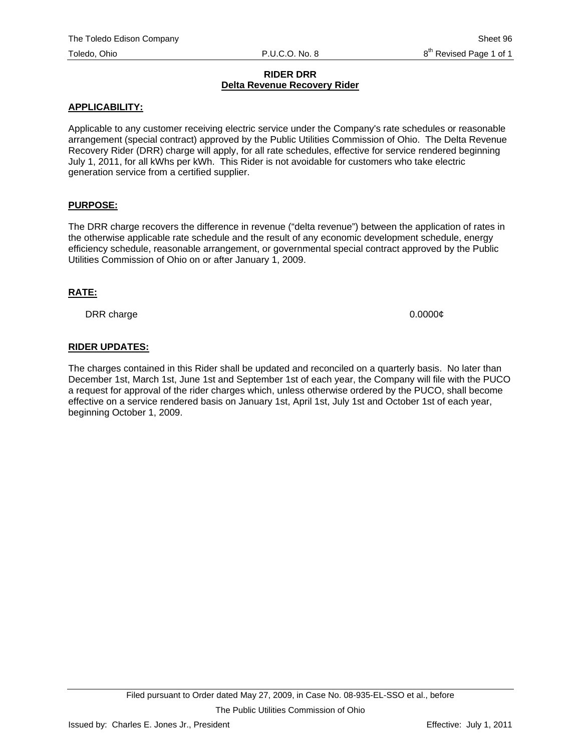#### **RIDER DRR Delta Revenue Recovery Rider**

#### **APPLICABILITY:**

Applicable to any customer receiving electric service under the Company's rate schedules or reasonable arrangement (special contract) approved by the Public Utilities Commission of Ohio. The Delta Revenue Recovery Rider (DRR) charge will apply, for all rate schedules, effective for service rendered beginning July 1, 2011, for all kWhs per kWh. This Rider is not avoidable for customers who take electric generation service from a certified supplier.

## **PURPOSE:**

The DRR charge recovers the difference in revenue ("delta revenue") between the application of rates in the otherwise applicable rate schedule and the result of any economic development schedule, energy efficiency schedule, reasonable arrangement, or governmental special contract approved by the Public Utilities Commission of Ohio on or after January 1, 2009.

#### **RATE:**

DRR charge 0.0000¢

## **RIDER UPDATES:**

The charges contained in this Rider shall be updated and reconciled on a quarterly basis. No later than December 1st, March 1st, June 1st and September 1st of each year, the Company will file with the PUCO a request for approval of the rider charges which, unless otherwise ordered by the PUCO, shall become effective on a service rendered basis on January 1st, April 1st, July 1st and October 1st of each year, beginning October 1, 2009.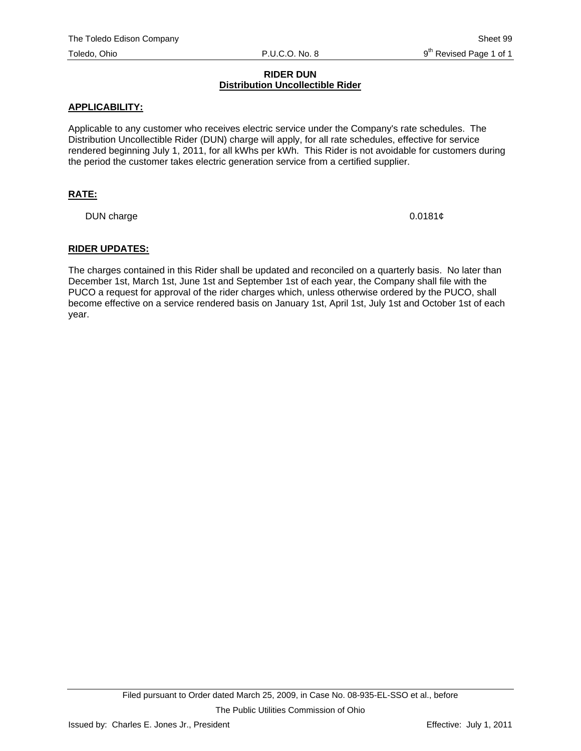## **RIDER DUN Distribution Uncollectible Rider**

#### **APPLICABILITY:**

Applicable to any customer who receives electric service under the Company's rate schedules. The Distribution Uncollectible Rider (DUN) charge will apply, for all rate schedules, effective for service rendered beginning July 1, 2011, for all kWhs per kWh. This Rider is not avoidable for customers during the period the customer takes electric generation service from a certified supplier.

## **RATE:**

DUN charge 0.0181¢

#### **RIDER UPDATES:**

The charges contained in this Rider shall be updated and reconciled on a quarterly basis. No later than December 1st, March 1st, June 1st and September 1st of each year, the Company shall file with the PUCO a request for approval of the rider charges which, unless otherwise ordered by the PUCO, shall become effective on a service rendered basis on January 1st, April 1st, July 1st and October 1st of each year.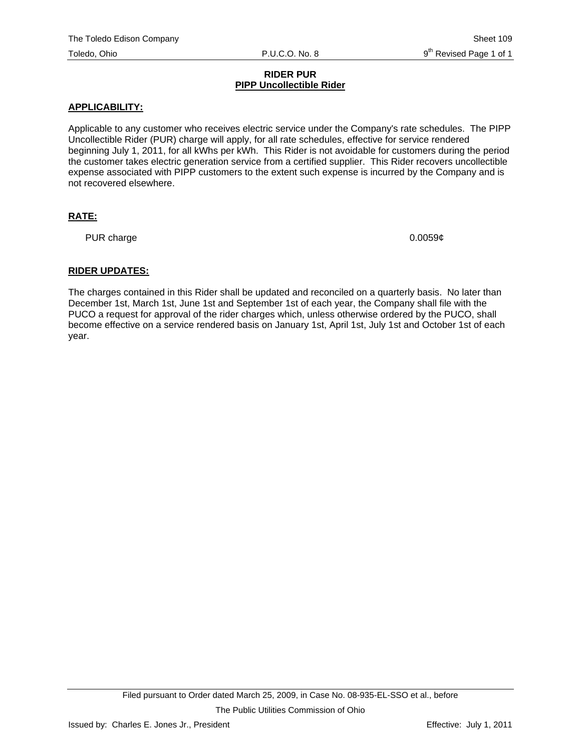#### **RIDER PUR PIPP Uncollectible Rider**

#### **APPLICABILITY:**

Applicable to any customer who receives electric service under the Company's rate schedules. The PIPP Uncollectible Rider (PUR) charge will apply, for all rate schedules, effective for service rendered beginning July 1, 2011, for all kWhs per kWh. This Rider is not avoidable for customers during the period the customer takes electric generation service from a certified supplier. This Rider recovers uncollectible expense associated with PIPP customers to the extent such expense is incurred by the Company and is not recovered elsewhere.

## **RATE:**

PUR charge 0.0059¢

## **RIDER UPDATES:**

The charges contained in this Rider shall be updated and reconciled on a quarterly basis. No later than December 1st, March 1st, June 1st and September 1st of each year, the Company shall file with the PUCO a request for approval of the rider charges which, unless otherwise ordered by the PUCO, shall become effective on a service rendered basis on January 1st, April 1st, July 1st and October 1st of each year.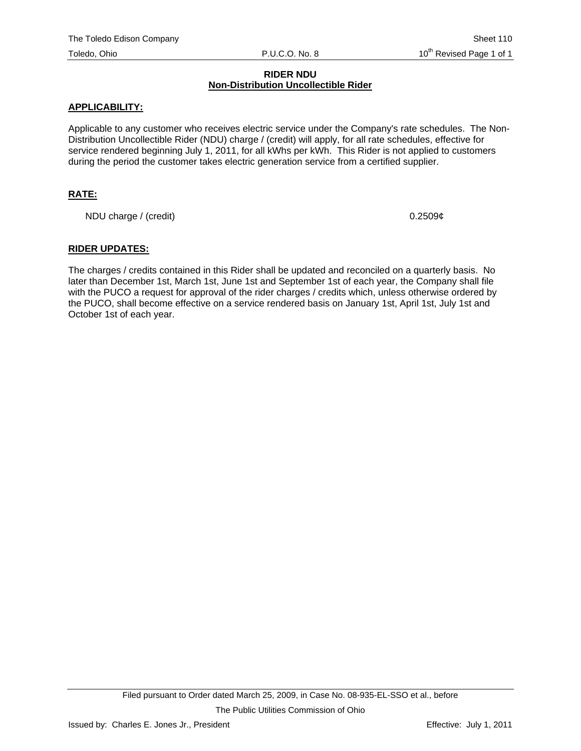#### **RIDER NDU Non-Distribution Uncollectible Rider**

#### **APPLICABILITY:**

Applicable to any customer who receives electric service under the Company's rate schedules. The Non-Distribution Uncollectible Rider (NDU) charge / (credit) will apply, for all rate schedules, effective for service rendered beginning July 1, 2011, for all kWhs per kWh. This Rider is not applied to customers during the period the customer takes electric generation service from a certified supplier.

## **RATE:**

NDU charge / (credit) 0.2509¢

#### **RIDER UPDATES:**

The charges / credits contained in this Rider shall be updated and reconciled on a quarterly basis. No later than December 1st, March 1st, June 1st and September 1st of each year, the Company shall file with the PUCO a request for approval of the rider charges / credits which, unless otherwise ordered by the PUCO, shall become effective on a service rendered basis on January 1st, April 1st, July 1st and October 1st of each year.